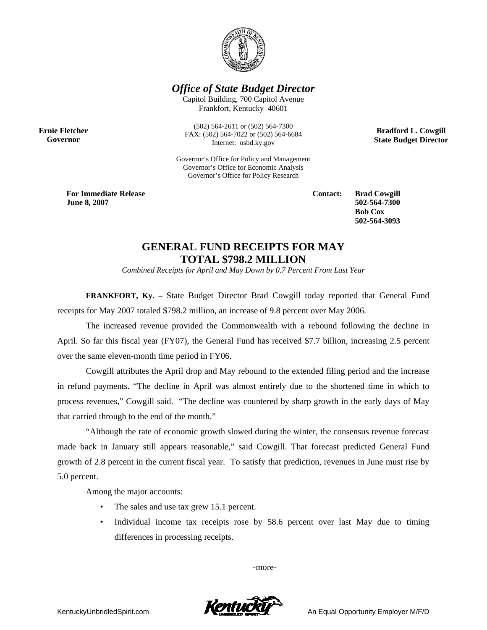

*Office of State Budget Director* 

Capitol Building, 700 Capitol Avenue Frankfort, Kentucky 40601

**Ernie Fletcher Governor** 

(502) 564-2611 or (502) 564-7300 FAX: (502) 564-7022 or (502) 564-6684 Internet: osbd.ky.gov

Governor's Office for Policy and Management Governor's Office for Economic Analysis Governor's Office for Policy Research

**For Immediate Release June 8, 2007**

**Contact: Brad Cowgill 502-564-7300 Bob Cox 502-564-3093** 

**Bradford L. Cowgill State Budget Director** 

## **GENERAL FUND RECEIPTS FOR MAY TOTAL \$798.2 MILLION**

*Combined Receipts for April and May Down by 0.7 Percent From Last Year* 

**FRANKFORT, Ky.** – State Budget Director Brad Cowgill today reported that General Fund receipts for May 2007 totaled \$798.2 million, an increase of 9.8 percent over May 2006.

The increased revenue provided the Commonwealth with a rebound following the decline in April. So far this fiscal year (FY07), the General Fund has received \$7.7 billion, increasing 2.5 percent over the same eleven-month time period in FY06.

Cowgill attributes the April drop and May rebound to the extended filing period and the increase in refund payments. "The decline in April was almost entirely due to the shortened time in which to process revenues," Cowgill said. "The decline was countered by sharp growth in the early days of May that carried through to the end of the month."

"Although the rate of economic growth slowed during the winter, the consensus revenue forecast made back in January still appears reasonable," said Cowgill. That forecast predicted General Fund growth of 2.8 percent in the current fiscal year. To satisfy that prediction, revenues in June must rise by 5.0 percent.

Among the major accounts:

- The sales and use tax grew 15.1 percent.
- Individual income tax receipts rose by 58.6 percent over last May due to timing differences in processing receipts.

-more-

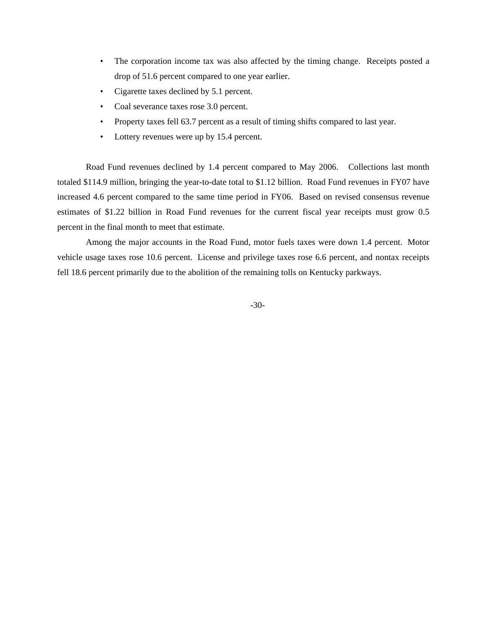- The corporation income tax was also affected by the timing change. Receipts posted a drop of 51.6 percent compared to one year earlier.
- Cigarette taxes declined by 5.1 percent.
- Coal severance taxes rose 3.0 percent.
- Property taxes fell 63.7 percent as a result of timing shifts compared to last year.
- Lottery revenues were up by 15.4 percent.

Road Fund revenues declined by 1.4 percent compared to May 2006. Collections last month totaled \$114.9 million, bringing the year-to-date total to \$1.12 billion. Road Fund revenues in FY07 have increased 4.6 percent compared to the same time period in FY06. Based on revised consensus revenue estimates of \$1.22 billion in Road Fund revenues for the current fiscal year receipts must grow 0.5 percent in the final month to meet that estimate.

Among the major accounts in the Road Fund, motor fuels taxes were down 1.4 percent. Motor vehicle usage taxes rose 10.6 percent. License and privilege taxes rose 6.6 percent, and nontax receipts fell 18.6 percent primarily due to the abolition of the remaining tolls on Kentucky parkways.

-30-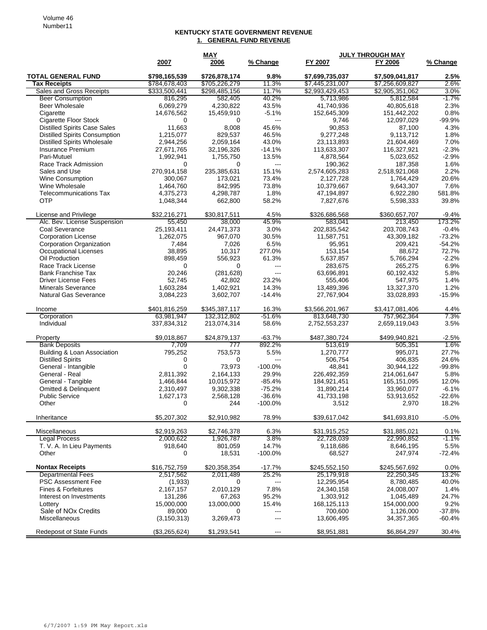## **KENTUCKY STATE GOVERNMENT REVENUE 1. GENERAL FUND REVENUE**

| 2007<br>% Change<br>FY 2007<br>FY 2006<br>2006<br><b>TOTAL GENERAL FUND</b><br>\$798,165,539<br>\$726,878,174<br>9.8%<br>\$7,699,735,037<br>\$7.509.041.817<br>2.5%<br><b>Tax Receipts</b><br>\$784,678,403<br>\$705,226,279<br>11.3%<br>\$7,445,231,007<br>\$7,256,609,827<br>2.6%<br>Sales and Gross Receipts<br>\$333,500,441<br>\$298,485,156<br>11.7%<br>\$2,993,429,453<br>\$2,905,351,062<br>3.0%<br><b>Beer Consumption</b><br>816,295<br>582,405<br>40.2%<br>5,713,986<br>$-1.7%$<br>5,812,584<br>Beer Wholesale<br>6,069,279<br>4.230.822<br>43.5%<br>41,740,936<br>40,805,618<br>2.3%<br>Cigarette<br>14,676,562<br>$-5.1%$<br>152,645,309<br>151,442,202<br>0.8%<br>15,459,910<br>$-99.9%$<br>Cigarette Floor Stock<br>$\mathbf 0$<br>$\overline{a}$<br>12,097,029<br>$\Omega$<br>9,746<br><b>Distilled Spirits Case Sales</b><br>11,663<br>8,008<br>45.6%<br>90,853<br>87,100<br>4.3%<br><b>Distilled Spirits Consumption</b><br>1,215,077<br>829.537<br>46.5%<br>9,277,248<br>9.113.712<br>1.8%<br><b>Distilled Spirits Wholesale</b><br>2,944,256<br>2,059,164<br>43.0%<br>23,113,893<br>21,604,469<br>7.0%<br>$-14.1%$<br>$-2.3%$<br><b>Insurance Premium</b><br>27,671,765<br>32,196,326<br>113,633,307<br>116,327,921<br>Pari-Mutuel<br>13.5%<br>$-2.9%$<br>1,992,941<br>1,755,750<br>4,878,564<br>5,023,652<br>Race Track Admission<br>$\Omega$<br>$\Omega$<br>190.362<br>187,358<br>1.6%<br>$\overline{\phantom{a}}$<br>270,914,158<br>235,385,631<br>15.1%<br>2,574,605,283<br>2,518,921,068<br>2.2%<br>Sales and Use<br>20.6%<br><b>Wine Consumption</b><br>300,067<br>173,021<br>73.4%<br>2,127,728<br>1,764,429<br>Wine Wholesale<br>1,464,760<br>842,995<br>73.8%<br>10,379,667<br>9,643,307<br>7.6%<br>1.8%<br>Telecommunications Tax<br>4,375,273<br>4,298,787<br>47,194,897<br>6,922,280<br>581.8%<br><b>OTP</b><br>58.2%<br>39.8%<br>1,048,344<br>662,800<br>7,827,676<br>5,598,333<br>\$32,216,271<br>\$30,817,511<br>4.5%<br>\$326,686,568<br>\$360,657,707<br>$-9.4%$<br>License and Privilege<br>55,450<br>38,000<br>45.9%<br>173.2%<br>Alc. Bev. License Suspension<br>583.041<br>213,450<br>Coal Severance<br>3.0%<br>$-0.4%$<br>25,193,411<br>24,471,373<br>202,835,542<br>203,708,743<br>$-73.2%$<br><b>Corporation License</b><br>1,262,075<br>967,070<br>30.5%<br>11,587,751<br>43,309,182<br>Corporation Organization<br>6.5%<br>$-54.2%$<br>7,484<br>7,026<br>95,951<br>209,421<br>Occupational Licenses<br>38,895<br>10,317<br>277.0%<br>153,154<br>88.672<br>72.7%<br>Oil Production<br>898,459<br>556,923<br>61.3%<br>5,637,857<br>5,766,294<br>$-2.2%$<br>6.9%<br>Race Track License<br>$\mathbf 0$<br>$\Omega$<br>283,675<br>265,275<br>---<br><b>Bank Franchise Tax</b><br>20,246<br>(281, 628)<br>---<br>63,696,891<br>60,192,432<br>5.8%<br>1.4%<br><b>Driver License Fees</b><br>52,745<br>42,802<br>23.2%<br>547,975<br>555,406<br>1.2%<br><b>Minerals Severance</b><br>1,603,284<br>1,402,921<br>14.3%<br>13,327,370<br>13,489,396<br><b>Natural Gas Severance</b><br>3,602,707<br>$-14.4%$<br>$-15.9%$<br>3,084,223<br>27,767,904<br>33,028,893<br>\$401,816,259<br>\$345,387,117<br>16.3%<br>\$3,566,201,967<br>\$3,417,081,406<br>4.4%<br>Income<br>7.3%<br>Corporation<br>63,981,947<br>132,312,802<br>$-51.6%$<br>813,648,730<br>757,962,364<br>Individual<br>337,834,312<br>58.6%<br>3.5%<br>213,074,314<br>2,752,553,237<br>2,659,119,043<br>\$9,018,867<br>\$24,879,137<br>$-63.7%$<br>\$487,380,724<br>\$499,940,821<br>$-2.5%$<br>Property<br>7,709<br>892.2%<br>1.6%<br><b>Bank Deposits</b><br>777<br>513,619<br>505,351<br>Building & Loan Association<br>5.5%<br>27.7%<br>795,252<br>753,573<br>1,270,777<br>995,071<br><b>Distilled Spirits</b><br>0<br>0<br>506,754<br>406,835<br>24.6%<br>$---$<br>$\mathbf 0$<br>General - Intangible<br>73,973<br>$-100.0\%$<br>48,841<br>30,944,122<br>$-99.8%$<br>General - Real<br>2,811,392<br>2,164,133<br>29.9%<br>226,492,359<br>214,061,647<br>5.8%<br>General - Tangible<br>10,015,972<br>$-85.4%$<br>184,921,451<br>165,151,095<br>12.0%<br>1,466,844<br>$-75.2%$<br><b>Omitted &amp; Delinquent</b><br>9,302,338<br>31,890,214<br>33,960,077<br>$-6.1%$<br>2,310,497<br><b>Public Service</b><br>2,568,128<br>$-36.6%$<br>41,733,198<br>53,913,652<br>$-22.6%$<br>1,627,173<br>Other<br>0<br>244<br>$-100.0%$<br>3,512<br>2,970<br>18.2%<br>Inheritance<br>\$5,207,302<br>\$2,910,982<br>78.9%<br>\$39,617,042<br>\$41,693,810<br>$-5.0%$<br>Miscellaneous<br>\$2,919,263<br>\$2,746,378<br>6.3%<br>\$31,915,252<br>\$31,885,021<br>0.1%<br><b>Legal Process</b><br>2,000,622<br>1,926,787<br>3.8%<br>22,728,039<br>-1.1%<br>22,990,852<br>T. V. A. In Lieu Payments<br>918,640<br>801,059<br>14.7%<br>8,646,195<br>5.5%<br>9,118,686<br>Other<br>18,531<br>$-100.0%$<br>68,527<br>247,974<br>$-72.4%$<br>0<br><b>Nontax Receipts</b><br>\$16,752,759<br>\$20,358,354<br>$-17.7%$<br>\$245,552,150<br>\$245,567,692<br>0.0%<br>25.2%<br><b>Departmental Fees</b><br>25,179,918<br>13.2%<br>2,517,562<br>2,011,489<br>22,250,345<br><b>PSC Assessment Fee</b><br>12,295,954<br>8,780,485<br>40.0%<br>(1,933)<br>0<br>$\frac{1}{2}$<br>2,010,129<br>7.8%<br>1.4%<br>Fines & Forfeitures<br>2,167,157<br>24,340,158<br>24,008,007<br>95.2%<br>24.7%<br>Interest on Investments<br>131,286<br>67,263<br>1,303,912<br>1,045,489<br>15,000,000<br>15.4%<br>9.2%<br>Lotterv<br>13,000,000<br>168, 125, 113<br>154,000,000<br>Sale of NO <sub>x</sub> Credits<br>$-37.8%$<br>89,000<br>700,600<br>1,126,000<br>0<br>$--$<br>Miscellaneous<br>(3, 150, 313)<br>3,269,473<br>13,606,495<br>$-60.4%$<br>34, 357, 365<br>---<br>30.4%<br><b>Redeposit of State Funds</b><br>( \$3,265,624)<br>\$1,293,541<br>\$8,951,881<br>\$6,864,297 | <b>MAY</b> |  |  | <b>JULY THROUGH MAY</b> |  |          |  |
|-----------------------------------------------------------------------------------------------------------------------------------------------------------------------------------------------------------------------------------------------------------------------------------------------------------------------------------------------------------------------------------------------------------------------------------------------------------------------------------------------------------------------------------------------------------------------------------------------------------------------------------------------------------------------------------------------------------------------------------------------------------------------------------------------------------------------------------------------------------------------------------------------------------------------------------------------------------------------------------------------------------------------------------------------------------------------------------------------------------------------------------------------------------------------------------------------------------------------------------------------------------------------------------------------------------------------------------------------------------------------------------------------------------------------------------------------------------------------------------------------------------------------------------------------------------------------------------------------------------------------------------------------------------------------------------------------------------------------------------------------------------------------------------------------------------------------------------------------------------------------------------------------------------------------------------------------------------------------------------------------------------------------------------------------------------------------------------------------------------------------------------------------------------------------------------------------------------------------------------------------------------------------------------------------------------------------------------------------------------------------------------------------------------------------------------------------------------------------------------------------------------------------------------------------------------------------------------------------------------------------------------------------------------------------------------------------------------------------------------------------------------------------------------------------------------------------------------------------------------------------------------------------------------------------------------------------------------------------------------------------------------------------------------------------------------------------------------------------------------------------------------------------------------------------------------------------------------------------------------------------------------------------------------------------------------------------------------------------------------------------------------------------------------------------------------------------------------------------------------------------------------------------------------------------------------------------------------------------------------------------------------------------------------------------------------------------------------------------------------------------------------------------------------------------------------------------------------------------------------------------------------------------------------------------------------------------------------------------------------------------------------------------------------------------------------------------------------------------------------------------------------------------------------------------------------------------------------------------------------------------------------------------------------------------------------------------------------------------------------------------------------------------------------------------------------------------------------------------------------------------------------------------------------------------------------------------------------------------------------------------------------------------------------------------------------------------------------------------------------------------------------------------------------------------------------------------------------------------------------------------------------------------------------------------------------------------------------------------------------------------------------------------------------------------------------------------------------------------------------------------------------------------------------------------------------------------------------------------------------------------------------------------------------------------------------------------------------------------------------------------------------------------------------------------------------------------------------------------------------------------------------------------------------------------------------------------------------------------------------------------------------------------------------------------------------------------------------------------------------------------|------------|--|--|-------------------------|--|----------|--|
|                                                                                                                                                                                                                                                                                                                                                                                                                                                                                                                                                                                                                                                                                                                                                                                                                                                                                                                                                                                                                                                                                                                                                                                                                                                                                                                                                                                                                                                                                                                                                                                                                                                                                                                                                                                                                                                                                                                                                                                                                                                                                                                                                                                                                                                                                                                                                                                                                                                                                                                                                                                                                                                                                                                                                                                                                                                                                                                                                                                                                                                                                                                                                                                                                                                                                                                                                                                                                                                                                                                                                                                                                                                                                                                                                                                                                                                                                                                                                                                                                                                                                                                                                                                                                                                                                                                                                                                                                                                                                                                                                                                                                                                                                                                                                                                                                                                                                                                                                                                                                                                                                                                                                                                                                                                                                                                                                                                                                                                                                                                                                                                                                                                                                                                                               |            |  |  |                         |  | % Change |  |
|                                                                                                                                                                                                                                                                                                                                                                                                                                                                                                                                                                                                                                                                                                                                                                                                                                                                                                                                                                                                                                                                                                                                                                                                                                                                                                                                                                                                                                                                                                                                                                                                                                                                                                                                                                                                                                                                                                                                                                                                                                                                                                                                                                                                                                                                                                                                                                                                                                                                                                                                                                                                                                                                                                                                                                                                                                                                                                                                                                                                                                                                                                                                                                                                                                                                                                                                                                                                                                                                                                                                                                                                                                                                                                                                                                                                                                                                                                                                                                                                                                                                                                                                                                                                                                                                                                                                                                                                                                                                                                                                                                                                                                                                                                                                                                                                                                                                                                                                                                                                                                                                                                                                                                                                                                                                                                                                                                                                                                                                                                                                                                                                                                                                                                                                               |            |  |  |                         |  |          |  |
|                                                                                                                                                                                                                                                                                                                                                                                                                                                                                                                                                                                                                                                                                                                                                                                                                                                                                                                                                                                                                                                                                                                                                                                                                                                                                                                                                                                                                                                                                                                                                                                                                                                                                                                                                                                                                                                                                                                                                                                                                                                                                                                                                                                                                                                                                                                                                                                                                                                                                                                                                                                                                                                                                                                                                                                                                                                                                                                                                                                                                                                                                                                                                                                                                                                                                                                                                                                                                                                                                                                                                                                                                                                                                                                                                                                                                                                                                                                                                                                                                                                                                                                                                                                                                                                                                                                                                                                                                                                                                                                                                                                                                                                                                                                                                                                                                                                                                                                                                                                                                                                                                                                                                                                                                                                                                                                                                                                                                                                                                                                                                                                                                                                                                                                                               |            |  |  |                         |  |          |  |
|                                                                                                                                                                                                                                                                                                                                                                                                                                                                                                                                                                                                                                                                                                                                                                                                                                                                                                                                                                                                                                                                                                                                                                                                                                                                                                                                                                                                                                                                                                                                                                                                                                                                                                                                                                                                                                                                                                                                                                                                                                                                                                                                                                                                                                                                                                                                                                                                                                                                                                                                                                                                                                                                                                                                                                                                                                                                                                                                                                                                                                                                                                                                                                                                                                                                                                                                                                                                                                                                                                                                                                                                                                                                                                                                                                                                                                                                                                                                                                                                                                                                                                                                                                                                                                                                                                                                                                                                                                                                                                                                                                                                                                                                                                                                                                                                                                                                                                                                                                                                                                                                                                                                                                                                                                                                                                                                                                                                                                                                                                                                                                                                                                                                                                                                               |            |  |  |                         |  |          |  |
|                                                                                                                                                                                                                                                                                                                                                                                                                                                                                                                                                                                                                                                                                                                                                                                                                                                                                                                                                                                                                                                                                                                                                                                                                                                                                                                                                                                                                                                                                                                                                                                                                                                                                                                                                                                                                                                                                                                                                                                                                                                                                                                                                                                                                                                                                                                                                                                                                                                                                                                                                                                                                                                                                                                                                                                                                                                                                                                                                                                                                                                                                                                                                                                                                                                                                                                                                                                                                                                                                                                                                                                                                                                                                                                                                                                                                                                                                                                                                                                                                                                                                                                                                                                                                                                                                                                                                                                                                                                                                                                                                                                                                                                                                                                                                                                                                                                                                                                                                                                                                                                                                                                                                                                                                                                                                                                                                                                                                                                                                                                                                                                                                                                                                                                                               |            |  |  |                         |  |          |  |
|                                                                                                                                                                                                                                                                                                                                                                                                                                                                                                                                                                                                                                                                                                                                                                                                                                                                                                                                                                                                                                                                                                                                                                                                                                                                                                                                                                                                                                                                                                                                                                                                                                                                                                                                                                                                                                                                                                                                                                                                                                                                                                                                                                                                                                                                                                                                                                                                                                                                                                                                                                                                                                                                                                                                                                                                                                                                                                                                                                                                                                                                                                                                                                                                                                                                                                                                                                                                                                                                                                                                                                                                                                                                                                                                                                                                                                                                                                                                                                                                                                                                                                                                                                                                                                                                                                                                                                                                                                                                                                                                                                                                                                                                                                                                                                                                                                                                                                                                                                                                                                                                                                                                                                                                                                                                                                                                                                                                                                                                                                                                                                                                                                                                                                                                               |            |  |  |                         |  |          |  |
|                                                                                                                                                                                                                                                                                                                                                                                                                                                                                                                                                                                                                                                                                                                                                                                                                                                                                                                                                                                                                                                                                                                                                                                                                                                                                                                                                                                                                                                                                                                                                                                                                                                                                                                                                                                                                                                                                                                                                                                                                                                                                                                                                                                                                                                                                                                                                                                                                                                                                                                                                                                                                                                                                                                                                                                                                                                                                                                                                                                                                                                                                                                                                                                                                                                                                                                                                                                                                                                                                                                                                                                                                                                                                                                                                                                                                                                                                                                                                                                                                                                                                                                                                                                                                                                                                                                                                                                                                                                                                                                                                                                                                                                                                                                                                                                                                                                                                                                                                                                                                                                                                                                                                                                                                                                                                                                                                                                                                                                                                                                                                                                                                                                                                                                                               |            |  |  |                         |  |          |  |
|                                                                                                                                                                                                                                                                                                                                                                                                                                                                                                                                                                                                                                                                                                                                                                                                                                                                                                                                                                                                                                                                                                                                                                                                                                                                                                                                                                                                                                                                                                                                                                                                                                                                                                                                                                                                                                                                                                                                                                                                                                                                                                                                                                                                                                                                                                                                                                                                                                                                                                                                                                                                                                                                                                                                                                                                                                                                                                                                                                                                                                                                                                                                                                                                                                                                                                                                                                                                                                                                                                                                                                                                                                                                                                                                                                                                                                                                                                                                                                                                                                                                                                                                                                                                                                                                                                                                                                                                                                                                                                                                                                                                                                                                                                                                                                                                                                                                                                                                                                                                                                                                                                                                                                                                                                                                                                                                                                                                                                                                                                                                                                                                                                                                                                                                               |            |  |  |                         |  |          |  |
|                                                                                                                                                                                                                                                                                                                                                                                                                                                                                                                                                                                                                                                                                                                                                                                                                                                                                                                                                                                                                                                                                                                                                                                                                                                                                                                                                                                                                                                                                                                                                                                                                                                                                                                                                                                                                                                                                                                                                                                                                                                                                                                                                                                                                                                                                                                                                                                                                                                                                                                                                                                                                                                                                                                                                                                                                                                                                                                                                                                                                                                                                                                                                                                                                                                                                                                                                                                                                                                                                                                                                                                                                                                                                                                                                                                                                                                                                                                                                                                                                                                                                                                                                                                                                                                                                                                                                                                                                                                                                                                                                                                                                                                                                                                                                                                                                                                                                                                                                                                                                                                                                                                                                                                                                                                                                                                                                                                                                                                                                                                                                                                                                                                                                                                                               |            |  |  |                         |  |          |  |
|                                                                                                                                                                                                                                                                                                                                                                                                                                                                                                                                                                                                                                                                                                                                                                                                                                                                                                                                                                                                                                                                                                                                                                                                                                                                                                                                                                                                                                                                                                                                                                                                                                                                                                                                                                                                                                                                                                                                                                                                                                                                                                                                                                                                                                                                                                                                                                                                                                                                                                                                                                                                                                                                                                                                                                                                                                                                                                                                                                                                                                                                                                                                                                                                                                                                                                                                                                                                                                                                                                                                                                                                                                                                                                                                                                                                                                                                                                                                                                                                                                                                                                                                                                                                                                                                                                                                                                                                                                                                                                                                                                                                                                                                                                                                                                                                                                                                                                                                                                                                                                                                                                                                                                                                                                                                                                                                                                                                                                                                                                                                                                                                                                                                                                                                               |            |  |  |                         |  |          |  |
|                                                                                                                                                                                                                                                                                                                                                                                                                                                                                                                                                                                                                                                                                                                                                                                                                                                                                                                                                                                                                                                                                                                                                                                                                                                                                                                                                                                                                                                                                                                                                                                                                                                                                                                                                                                                                                                                                                                                                                                                                                                                                                                                                                                                                                                                                                                                                                                                                                                                                                                                                                                                                                                                                                                                                                                                                                                                                                                                                                                                                                                                                                                                                                                                                                                                                                                                                                                                                                                                                                                                                                                                                                                                                                                                                                                                                                                                                                                                                                                                                                                                                                                                                                                                                                                                                                                                                                                                                                                                                                                                                                                                                                                                                                                                                                                                                                                                                                                                                                                                                                                                                                                                                                                                                                                                                                                                                                                                                                                                                                                                                                                                                                                                                                                                               |            |  |  |                         |  |          |  |
|                                                                                                                                                                                                                                                                                                                                                                                                                                                                                                                                                                                                                                                                                                                                                                                                                                                                                                                                                                                                                                                                                                                                                                                                                                                                                                                                                                                                                                                                                                                                                                                                                                                                                                                                                                                                                                                                                                                                                                                                                                                                                                                                                                                                                                                                                                                                                                                                                                                                                                                                                                                                                                                                                                                                                                                                                                                                                                                                                                                                                                                                                                                                                                                                                                                                                                                                                                                                                                                                                                                                                                                                                                                                                                                                                                                                                                                                                                                                                                                                                                                                                                                                                                                                                                                                                                                                                                                                                                                                                                                                                                                                                                                                                                                                                                                                                                                                                                                                                                                                                                                                                                                                                                                                                                                                                                                                                                                                                                                                                                                                                                                                                                                                                                                                               |            |  |  |                         |  |          |  |
|                                                                                                                                                                                                                                                                                                                                                                                                                                                                                                                                                                                                                                                                                                                                                                                                                                                                                                                                                                                                                                                                                                                                                                                                                                                                                                                                                                                                                                                                                                                                                                                                                                                                                                                                                                                                                                                                                                                                                                                                                                                                                                                                                                                                                                                                                                                                                                                                                                                                                                                                                                                                                                                                                                                                                                                                                                                                                                                                                                                                                                                                                                                                                                                                                                                                                                                                                                                                                                                                                                                                                                                                                                                                                                                                                                                                                                                                                                                                                                                                                                                                                                                                                                                                                                                                                                                                                                                                                                                                                                                                                                                                                                                                                                                                                                                                                                                                                                                                                                                                                                                                                                                                                                                                                                                                                                                                                                                                                                                                                                                                                                                                                                                                                                                                               |            |  |  |                         |  |          |  |
|                                                                                                                                                                                                                                                                                                                                                                                                                                                                                                                                                                                                                                                                                                                                                                                                                                                                                                                                                                                                                                                                                                                                                                                                                                                                                                                                                                                                                                                                                                                                                                                                                                                                                                                                                                                                                                                                                                                                                                                                                                                                                                                                                                                                                                                                                                                                                                                                                                                                                                                                                                                                                                                                                                                                                                                                                                                                                                                                                                                                                                                                                                                                                                                                                                                                                                                                                                                                                                                                                                                                                                                                                                                                                                                                                                                                                                                                                                                                                                                                                                                                                                                                                                                                                                                                                                                                                                                                                                                                                                                                                                                                                                                                                                                                                                                                                                                                                                                                                                                                                                                                                                                                                                                                                                                                                                                                                                                                                                                                                                                                                                                                                                                                                                                                               |            |  |  |                         |  |          |  |
|                                                                                                                                                                                                                                                                                                                                                                                                                                                                                                                                                                                                                                                                                                                                                                                                                                                                                                                                                                                                                                                                                                                                                                                                                                                                                                                                                                                                                                                                                                                                                                                                                                                                                                                                                                                                                                                                                                                                                                                                                                                                                                                                                                                                                                                                                                                                                                                                                                                                                                                                                                                                                                                                                                                                                                                                                                                                                                                                                                                                                                                                                                                                                                                                                                                                                                                                                                                                                                                                                                                                                                                                                                                                                                                                                                                                                                                                                                                                                                                                                                                                                                                                                                                                                                                                                                                                                                                                                                                                                                                                                                                                                                                                                                                                                                                                                                                                                                                                                                                                                                                                                                                                                                                                                                                                                                                                                                                                                                                                                                                                                                                                                                                                                                                                               |            |  |  |                         |  |          |  |
|                                                                                                                                                                                                                                                                                                                                                                                                                                                                                                                                                                                                                                                                                                                                                                                                                                                                                                                                                                                                                                                                                                                                                                                                                                                                                                                                                                                                                                                                                                                                                                                                                                                                                                                                                                                                                                                                                                                                                                                                                                                                                                                                                                                                                                                                                                                                                                                                                                                                                                                                                                                                                                                                                                                                                                                                                                                                                                                                                                                                                                                                                                                                                                                                                                                                                                                                                                                                                                                                                                                                                                                                                                                                                                                                                                                                                                                                                                                                                                                                                                                                                                                                                                                                                                                                                                                                                                                                                                                                                                                                                                                                                                                                                                                                                                                                                                                                                                                                                                                                                                                                                                                                                                                                                                                                                                                                                                                                                                                                                                                                                                                                                                                                                                                                               |            |  |  |                         |  |          |  |
|                                                                                                                                                                                                                                                                                                                                                                                                                                                                                                                                                                                                                                                                                                                                                                                                                                                                                                                                                                                                                                                                                                                                                                                                                                                                                                                                                                                                                                                                                                                                                                                                                                                                                                                                                                                                                                                                                                                                                                                                                                                                                                                                                                                                                                                                                                                                                                                                                                                                                                                                                                                                                                                                                                                                                                                                                                                                                                                                                                                                                                                                                                                                                                                                                                                                                                                                                                                                                                                                                                                                                                                                                                                                                                                                                                                                                                                                                                                                                                                                                                                                                                                                                                                                                                                                                                                                                                                                                                                                                                                                                                                                                                                                                                                                                                                                                                                                                                                                                                                                                                                                                                                                                                                                                                                                                                                                                                                                                                                                                                                                                                                                                                                                                                                                               |            |  |  |                         |  |          |  |
|                                                                                                                                                                                                                                                                                                                                                                                                                                                                                                                                                                                                                                                                                                                                                                                                                                                                                                                                                                                                                                                                                                                                                                                                                                                                                                                                                                                                                                                                                                                                                                                                                                                                                                                                                                                                                                                                                                                                                                                                                                                                                                                                                                                                                                                                                                                                                                                                                                                                                                                                                                                                                                                                                                                                                                                                                                                                                                                                                                                                                                                                                                                                                                                                                                                                                                                                                                                                                                                                                                                                                                                                                                                                                                                                                                                                                                                                                                                                                                                                                                                                                                                                                                                                                                                                                                                                                                                                                                                                                                                                                                                                                                                                                                                                                                                                                                                                                                                                                                                                                                                                                                                                                                                                                                                                                                                                                                                                                                                                                                                                                                                                                                                                                                                                               |            |  |  |                         |  |          |  |
|                                                                                                                                                                                                                                                                                                                                                                                                                                                                                                                                                                                                                                                                                                                                                                                                                                                                                                                                                                                                                                                                                                                                                                                                                                                                                                                                                                                                                                                                                                                                                                                                                                                                                                                                                                                                                                                                                                                                                                                                                                                                                                                                                                                                                                                                                                                                                                                                                                                                                                                                                                                                                                                                                                                                                                                                                                                                                                                                                                                                                                                                                                                                                                                                                                                                                                                                                                                                                                                                                                                                                                                                                                                                                                                                                                                                                                                                                                                                                                                                                                                                                                                                                                                                                                                                                                                                                                                                                                                                                                                                                                                                                                                                                                                                                                                                                                                                                                                                                                                                                                                                                                                                                                                                                                                                                                                                                                                                                                                                                                                                                                                                                                                                                                                                               |            |  |  |                         |  |          |  |
|                                                                                                                                                                                                                                                                                                                                                                                                                                                                                                                                                                                                                                                                                                                                                                                                                                                                                                                                                                                                                                                                                                                                                                                                                                                                                                                                                                                                                                                                                                                                                                                                                                                                                                                                                                                                                                                                                                                                                                                                                                                                                                                                                                                                                                                                                                                                                                                                                                                                                                                                                                                                                                                                                                                                                                                                                                                                                                                                                                                                                                                                                                                                                                                                                                                                                                                                                                                                                                                                                                                                                                                                                                                                                                                                                                                                                                                                                                                                                                                                                                                                                                                                                                                                                                                                                                                                                                                                                                                                                                                                                                                                                                                                                                                                                                                                                                                                                                                                                                                                                                                                                                                                                                                                                                                                                                                                                                                                                                                                                                                                                                                                                                                                                                                                               |            |  |  |                         |  |          |  |
|                                                                                                                                                                                                                                                                                                                                                                                                                                                                                                                                                                                                                                                                                                                                                                                                                                                                                                                                                                                                                                                                                                                                                                                                                                                                                                                                                                                                                                                                                                                                                                                                                                                                                                                                                                                                                                                                                                                                                                                                                                                                                                                                                                                                                                                                                                                                                                                                                                                                                                                                                                                                                                                                                                                                                                                                                                                                                                                                                                                                                                                                                                                                                                                                                                                                                                                                                                                                                                                                                                                                                                                                                                                                                                                                                                                                                                                                                                                                                                                                                                                                                                                                                                                                                                                                                                                                                                                                                                                                                                                                                                                                                                                                                                                                                                                                                                                                                                                                                                                                                                                                                                                                                                                                                                                                                                                                                                                                                                                                                                                                                                                                                                                                                                                                               |            |  |  |                         |  |          |  |
|                                                                                                                                                                                                                                                                                                                                                                                                                                                                                                                                                                                                                                                                                                                                                                                                                                                                                                                                                                                                                                                                                                                                                                                                                                                                                                                                                                                                                                                                                                                                                                                                                                                                                                                                                                                                                                                                                                                                                                                                                                                                                                                                                                                                                                                                                                                                                                                                                                                                                                                                                                                                                                                                                                                                                                                                                                                                                                                                                                                                                                                                                                                                                                                                                                                                                                                                                                                                                                                                                                                                                                                                                                                                                                                                                                                                                                                                                                                                                                                                                                                                                                                                                                                                                                                                                                                                                                                                                                                                                                                                                                                                                                                                                                                                                                                                                                                                                                                                                                                                                                                                                                                                                                                                                                                                                                                                                                                                                                                                                                                                                                                                                                                                                                                                               |            |  |  |                         |  |          |  |
|                                                                                                                                                                                                                                                                                                                                                                                                                                                                                                                                                                                                                                                                                                                                                                                                                                                                                                                                                                                                                                                                                                                                                                                                                                                                                                                                                                                                                                                                                                                                                                                                                                                                                                                                                                                                                                                                                                                                                                                                                                                                                                                                                                                                                                                                                                                                                                                                                                                                                                                                                                                                                                                                                                                                                                                                                                                                                                                                                                                                                                                                                                                                                                                                                                                                                                                                                                                                                                                                                                                                                                                                                                                                                                                                                                                                                                                                                                                                                                                                                                                                                                                                                                                                                                                                                                                                                                                                                                                                                                                                                                                                                                                                                                                                                                                                                                                                                                                                                                                                                                                                                                                                                                                                                                                                                                                                                                                                                                                                                                                                                                                                                                                                                                                                               |            |  |  |                         |  |          |  |
|                                                                                                                                                                                                                                                                                                                                                                                                                                                                                                                                                                                                                                                                                                                                                                                                                                                                                                                                                                                                                                                                                                                                                                                                                                                                                                                                                                                                                                                                                                                                                                                                                                                                                                                                                                                                                                                                                                                                                                                                                                                                                                                                                                                                                                                                                                                                                                                                                                                                                                                                                                                                                                                                                                                                                                                                                                                                                                                                                                                                                                                                                                                                                                                                                                                                                                                                                                                                                                                                                                                                                                                                                                                                                                                                                                                                                                                                                                                                                                                                                                                                                                                                                                                                                                                                                                                                                                                                                                                                                                                                                                                                                                                                                                                                                                                                                                                                                                                                                                                                                                                                                                                                                                                                                                                                                                                                                                                                                                                                                                                                                                                                                                                                                                                                               |            |  |  |                         |  |          |  |
|                                                                                                                                                                                                                                                                                                                                                                                                                                                                                                                                                                                                                                                                                                                                                                                                                                                                                                                                                                                                                                                                                                                                                                                                                                                                                                                                                                                                                                                                                                                                                                                                                                                                                                                                                                                                                                                                                                                                                                                                                                                                                                                                                                                                                                                                                                                                                                                                                                                                                                                                                                                                                                                                                                                                                                                                                                                                                                                                                                                                                                                                                                                                                                                                                                                                                                                                                                                                                                                                                                                                                                                                                                                                                                                                                                                                                                                                                                                                                                                                                                                                                                                                                                                                                                                                                                                                                                                                                                                                                                                                                                                                                                                                                                                                                                                                                                                                                                                                                                                                                                                                                                                                                                                                                                                                                                                                                                                                                                                                                                                                                                                                                                                                                                                                               |            |  |  |                         |  |          |  |
|                                                                                                                                                                                                                                                                                                                                                                                                                                                                                                                                                                                                                                                                                                                                                                                                                                                                                                                                                                                                                                                                                                                                                                                                                                                                                                                                                                                                                                                                                                                                                                                                                                                                                                                                                                                                                                                                                                                                                                                                                                                                                                                                                                                                                                                                                                                                                                                                                                                                                                                                                                                                                                                                                                                                                                                                                                                                                                                                                                                                                                                                                                                                                                                                                                                                                                                                                                                                                                                                                                                                                                                                                                                                                                                                                                                                                                                                                                                                                                                                                                                                                                                                                                                                                                                                                                                                                                                                                                                                                                                                                                                                                                                                                                                                                                                                                                                                                                                                                                                                                                                                                                                                                                                                                                                                                                                                                                                                                                                                                                                                                                                                                                                                                                                                               |            |  |  |                         |  |          |  |
|                                                                                                                                                                                                                                                                                                                                                                                                                                                                                                                                                                                                                                                                                                                                                                                                                                                                                                                                                                                                                                                                                                                                                                                                                                                                                                                                                                                                                                                                                                                                                                                                                                                                                                                                                                                                                                                                                                                                                                                                                                                                                                                                                                                                                                                                                                                                                                                                                                                                                                                                                                                                                                                                                                                                                                                                                                                                                                                                                                                                                                                                                                                                                                                                                                                                                                                                                                                                                                                                                                                                                                                                                                                                                                                                                                                                                                                                                                                                                                                                                                                                                                                                                                                                                                                                                                                                                                                                                                                                                                                                                                                                                                                                                                                                                                                                                                                                                                                                                                                                                                                                                                                                                                                                                                                                                                                                                                                                                                                                                                                                                                                                                                                                                                                                               |            |  |  |                         |  |          |  |
|                                                                                                                                                                                                                                                                                                                                                                                                                                                                                                                                                                                                                                                                                                                                                                                                                                                                                                                                                                                                                                                                                                                                                                                                                                                                                                                                                                                                                                                                                                                                                                                                                                                                                                                                                                                                                                                                                                                                                                                                                                                                                                                                                                                                                                                                                                                                                                                                                                                                                                                                                                                                                                                                                                                                                                                                                                                                                                                                                                                                                                                                                                                                                                                                                                                                                                                                                                                                                                                                                                                                                                                                                                                                                                                                                                                                                                                                                                                                                                                                                                                                                                                                                                                                                                                                                                                                                                                                                                                                                                                                                                                                                                                                                                                                                                                                                                                                                                                                                                                                                                                                                                                                                                                                                                                                                                                                                                                                                                                                                                                                                                                                                                                                                                                                               |            |  |  |                         |  |          |  |
|                                                                                                                                                                                                                                                                                                                                                                                                                                                                                                                                                                                                                                                                                                                                                                                                                                                                                                                                                                                                                                                                                                                                                                                                                                                                                                                                                                                                                                                                                                                                                                                                                                                                                                                                                                                                                                                                                                                                                                                                                                                                                                                                                                                                                                                                                                                                                                                                                                                                                                                                                                                                                                                                                                                                                                                                                                                                                                                                                                                                                                                                                                                                                                                                                                                                                                                                                                                                                                                                                                                                                                                                                                                                                                                                                                                                                                                                                                                                                                                                                                                                                                                                                                                                                                                                                                                                                                                                                                                                                                                                                                                                                                                                                                                                                                                                                                                                                                                                                                                                                                                                                                                                                                                                                                                                                                                                                                                                                                                                                                                                                                                                                                                                                                                                               |            |  |  |                         |  |          |  |
|                                                                                                                                                                                                                                                                                                                                                                                                                                                                                                                                                                                                                                                                                                                                                                                                                                                                                                                                                                                                                                                                                                                                                                                                                                                                                                                                                                                                                                                                                                                                                                                                                                                                                                                                                                                                                                                                                                                                                                                                                                                                                                                                                                                                                                                                                                                                                                                                                                                                                                                                                                                                                                                                                                                                                                                                                                                                                                                                                                                                                                                                                                                                                                                                                                                                                                                                                                                                                                                                                                                                                                                                                                                                                                                                                                                                                                                                                                                                                                                                                                                                                                                                                                                                                                                                                                                                                                                                                                                                                                                                                                                                                                                                                                                                                                                                                                                                                                                                                                                                                                                                                                                                                                                                                                                                                                                                                                                                                                                                                                                                                                                                                                                                                                                                               |            |  |  |                         |  |          |  |
|                                                                                                                                                                                                                                                                                                                                                                                                                                                                                                                                                                                                                                                                                                                                                                                                                                                                                                                                                                                                                                                                                                                                                                                                                                                                                                                                                                                                                                                                                                                                                                                                                                                                                                                                                                                                                                                                                                                                                                                                                                                                                                                                                                                                                                                                                                                                                                                                                                                                                                                                                                                                                                                                                                                                                                                                                                                                                                                                                                                                                                                                                                                                                                                                                                                                                                                                                                                                                                                                                                                                                                                                                                                                                                                                                                                                                                                                                                                                                                                                                                                                                                                                                                                                                                                                                                                                                                                                                                                                                                                                                                                                                                                                                                                                                                                                                                                                                                                                                                                                                                                                                                                                                                                                                                                                                                                                                                                                                                                                                                                                                                                                                                                                                                                                               |            |  |  |                         |  |          |  |
|                                                                                                                                                                                                                                                                                                                                                                                                                                                                                                                                                                                                                                                                                                                                                                                                                                                                                                                                                                                                                                                                                                                                                                                                                                                                                                                                                                                                                                                                                                                                                                                                                                                                                                                                                                                                                                                                                                                                                                                                                                                                                                                                                                                                                                                                                                                                                                                                                                                                                                                                                                                                                                                                                                                                                                                                                                                                                                                                                                                                                                                                                                                                                                                                                                                                                                                                                                                                                                                                                                                                                                                                                                                                                                                                                                                                                                                                                                                                                                                                                                                                                                                                                                                                                                                                                                                                                                                                                                                                                                                                                                                                                                                                                                                                                                                                                                                                                                                                                                                                                                                                                                                                                                                                                                                                                                                                                                                                                                                                                                                                                                                                                                                                                                                                               |            |  |  |                         |  |          |  |
|                                                                                                                                                                                                                                                                                                                                                                                                                                                                                                                                                                                                                                                                                                                                                                                                                                                                                                                                                                                                                                                                                                                                                                                                                                                                                                                                                                                                                                                                                                                                                                                                                                                                                                                                                                                                                                                                                                                                                                                                                                                                                                                                                                                                                                                                                                                                                                                                                                                                                                                                                                                                                                                                                                                                                                                                                                                                                                                                                                                                                                                                                                                                                                                                                                                                                                                                                                                                                                                                                                                                                                                                                                                                                                                                                                                                                                                                                                                                                                                                                                                                                                                                                                                                                                                                                                                                                                                                                                                                                                                                                                                                                                                                                                                                                                                                                                                                                                                                                                                                                                                                                                                                                                                                                                                                                                                                                                                                                                                                                                                                                                                                                                                                                                                                               |            |  |  |                         |  |          |  |
|                                                                                                                                                                                                                                                                                                                                                                                                                                                                                                                                                                                                                                                                                                                                                                                                                                                                                                                                                                                                                                                                                                                                                                                                                                                                                                                                                                                                                                                                                                                                                                                                                                                                                                                                                                                                                                                                                                                                                                                                                                                                                                                                                                                                                                                                                                                                                                                                                                                                                                                                                                                                                                                                                                                                                                                                                                                                                                                                                                                                                                                                                                                                                                                                                                                                                                                                                                                                                                                                                                                                                                                                                                                                                                                                                                                                                                                                                                                                                                                                                                                                                                                                                                                                                                                                                                                                                                                                                                                                                                                                                                                                                                                                                                                                                                                                                                                                                                                                                                                                                                                                                                                                                                                                                                                                                                                                                                                                                                                                                                                                                                                                                                                                                                                                               |            |  |  |                         |  |          |  |
|                                                                                                                                                                                                                                                                                                                                                                                                                                                                                                                                                                                                                                                                                                                                                                                                                                                                                                                                                                                                                                                                                                                                                                                                                                                                                                                                                                                                                                                                                                                                                                                                                                                                                                                                                                                                                                                                                                                                                                                                                                                                                                                                                                                                                                                                                                                                                                                                                                                                                                                                                                                                                                                                                                                                                                                                                                                                                                                                                                                                                                                                                                                                                                                                                                                                                                                                                                                                                                                                                                                                                                                                                                                                                                                                                                                                                                                                                                                                                                                                                                                                                                                                                                                                                                                                                                                                                                                                                                                                                                                                                                                                                                                                                                                                                                                                                                                                                                                                                                                                                                                                                                                                                                                                                                                                                                                                                                                                                                                                                                                                                                                                                                                                                                                                               |            |  |  |                         |  |          |  |
|                                                                                                                                                                                                                                                                                                                                                                                                                                                                                                                                                                                                                                                                                                                                                                                                                                                                                                                                                                                                                                                                                                                                                                                                                                                                                                                                                                                                                                                                                                                                                                                                                                                                                                                                                                                                                                                                                                                                                                                                                                                                                                                                                                                                                                                                                                                                                                                                                                                                                                                                                                                                                                                                                                                                                                                                                                                                                                                                                                                                                                                                                                                                                                                                                                                                                                                                                                                                                                                                                                                                                                                                                                                                                                                                                                                                                                                                                                                                                                                                                                                                                                                                                                                                                                                                                                                                                                                                                                                                                                                                                                                                                                                                                                                                                                                                                                                                                                                                                                                                                                                                                                                                                                                                                                                                                                                                                                                                                                                                                                                                                                                                                                                                                                                                               |            |  |  |                         |  |          |  |
|                                                                                                                                                                                                                                                                                                                                                                                                                                                                                                                                                                                                                                                                                                                                                                                                                                                                                                                                                                                                                                                                                                                                                                                                                                                                                                                                                                                                                                                                                                                                                                                                                                                                                                                                                                                                                                                                                                                                                                                                                                                                                                                                                                                                                                                                                                                                                                                                                                                                                                                                                                                                                                                                                                                                                                                                                                                                                                                                                                                                                                                                                                                                                                                                                                                                                                                                                                                                                                                                                                                                                                                                                                                                                                                                                                                                                                                                                                                                                                                                                                                                                                                                                                                                                                                                                                                                                                                                                                                                                                                                                                                                                                                                                                                                                                                                                                                                                                                                                                                                                                                                                                                                                                                                                                                                                                                                                                                                                                                                                                                                                                                                                                                                                                                                               |            |  |  |                         |  |          |  |
|                                                                                                                                                                                                                                                                                                                                                                                                                                                                                                                                                                                                                                                                                                                                                                                                                                                                                                                                                                                                                                                                                                                                                                                                                                                                                                                                                                                                                                                                                                                                                                                                                                                                                                                                                                                                                                                                                                                                                                                                                                                                                                                                                                                                                                                                                                                                                                                                                                                                                                                                                                                                                                                                                                                                                                                                                                                                                                                                                                                                                                                                                                                                                                                                                                                                                                                                                                                                                                                                                                                                                                                                                                                                                                                                                                                                                                                                                                                                                                                                                                                                                                                                                                                                                                                                                                                                                                                                                                                                                                                                                                                                                                                                                                                                                                                                                                                                                                                                                                                                                                                                                                                                                                                                                                                                                                                                                                                                                                                                                                                                                                                                                                                                                                                                               |            |  |  |                         |  |          |  |
|                                                                                                                                                                                                                                                                                                                                                                                                                                                                                                                                                                                                                                                                                                                                                                                                                                                                                                                                                                                                                                                                                                                                                                                                                                                                                                                                                                                                                                                                                                                                                                                                                                                                                                                                                                                                                                                                                                                                                                                                                                                                                                                                                                                                                                                                                                                                                                                                                                                                                                                                                                                                                                                                                                                                                                                                                                                                                                                                                                                                                                                                                                                                                                                                                                                                                                                                                                                                                                                                                                                                                                                                                                                                                                                                                                                                                                                                                                                                                                                                                                                                                                                                                                                                                                                                                                                                                                                                                                                                                                                                                                                                                                                                                                                                                                                                                                                                                                                                                                                                                                                                                                                                                                                                                                                                                                                                                                                                                                                                                                                                                                                                                                                                                                                                               |            |  |  |                         |  |          |  |
|                                                                                                                                                                                                                                                                                                                                                                                                                                                                                                                                                                                                                                                                                                                                                                                                                                                                                                                                                                                                                                                                                                                                                                                                                                                                                                                                                                                                                                                                                                                                                                                                                                                                                                                                                                                                                                                                                                                                                                                                                                                                                                                                                                                                                                                                                                                                                                                                                                                                                                                                                                                                                                                                                                                                                                                                                                                                                                                                                                                                                                                                                                                                                                                                                                                                                                                                                                                                                                                                                                                                                                                                                                                                                                                                                                                                                                                                                                                                                                                                                                                                                                                                                                                                                                                                                                                                                                                                                                                                                                                                                                                                                                                                                                                                                                                                                                                                                                                                                                                                                                                                                                                                                                                                                                                                                                                                                                                                                                                                                                                                                                                                                                                                                                                                               |            |  |  |                         |  |          |  |
|                                                                                                                                                                                                                                                                                                                                                                                                                                                                                                                                                                                                                                                                                                                                                                                                                                                                                                                                                                                                                                                                                                                                                                                                                                                                                                                                                                                                                                                                                                                                                                                                                                                                                                                                                                                                                                                                                                                                                                                                                                                                                                                                                                                                                                                                                                                                                                                                                                                                                                                                                                                                                                                                                                                                                                                                                                                                                                                                                                                                                                                                                                                                                                                                                                                                                                                                                                                                                                                                                                                                                                                                                                                                                                                                                                                                                                                                                                                                                                                                                                                                                                                                                                                                                                                                                                                                                                                                                                                                                                                                                                                                                                                                                                                                                                                                                                                                                                                                                                                                                                                                                                                                                                                                                                                                                                                                                                                                                                                                                                                                                                                                                                                                                                                                               |            |  |  |                         |  |          |  |
|                                                                                                                                                                                                                                                                                                                                                                                                                                                                                                                                                                                                                                                                                                                                                                                                                                                                                                                                                                                                                                                                                                                                                                                                                                                                                                                                                                                                                                                                                                                                                                                                                                                                                                                                                                                                                                                                                                                                                                                                                                                                                                                                                                                                                                                                                                                                                                                                                                                                                                                                                                                                                                                                                                                                                                                                                                                                                                                                                                                                                                                                                                                                                                                                                                                                                                                                                                                                                                                                                                                                                                                                                                                                                                                                                                                                                                                                                                                                                                                                                                                                                                                                                                                                                                                                                                                                                                                                                                                                                                                                                                                                                                                                                                                                                                                                                                                                                                                                                                                                                                                                                                                                                                                                                                                                                                                                                                                                                                                                                                                                                                                                                                                                                                                                               |            |  |  |                         |  |          |  |
|                                                                                                                                                                                                                                                                                                                                                                                                                                                                                                                                                                                                                                                                                                                                                                                                                                                                                                                                                                                                                                                                                                                                                                                                                                                                                                                                                                                                                                                                                                                                                                                                                                                                                                                                                                                                                                                                                                                                                                                                                                                                                                                                                                                                                                                                                                                                                                                                                                                                                                                                                                                                                                                                                                                                                                                                                                                                                                                                                                                                                                                                                                                                                                                                                                                                                                                                                                                                                                                                                                                                                                                                                                                                                                                                                                                                                                                                                                                                                                                                                                                                                                                                                                                                                                                                                                                                                                                                                                                                                                                                                                                                                                                                                                                                                                                                                                                                                                                                                                                                                                                                                                                                                                                                                                                                                                                                                                                                                                                                                                                                                                                                                                                                                                                                               |            |  |  |                         |  |          |  |
|                                                                                                                                                                                                                                                                                                                                                                                                                                                                                                                                                                                                                                                                                                                                                                                                                                                                                                                                                                                                                                                                                                                                                                                                                                                                                                                                                                                                                                                                                                                                                                                                                                                                                                                                                                                                                                                                                                                                                                                                                                                                                                                                                                                                                                                                                                                                                                                                                                                                                                                                                                                                                                                                                                                                                                                                                                                                                                                                                                                                                                                                                                                                                                                                                                                                                                                                                                                                                                                                                                                                                                                                                                                                                                                                                                                                                                                                                                                                                                                                                                                                                                                                                                                                                                                                                                                                                                                                                                                                                                                                                                                                                                                                                                                                                                                                                                                                                                                                                                                                                                                                                                                                                                                                                                                                                                                                                                                                                                                                                                                                                                                                                                                                                                                                               |            |  |  |                         |  |          |  |
|                                                                                                                                                                                                                                                                                                                                                                                                                                                                                                                                                                                                                                                                                                                                                                                                                                                                                                                                                                                                                                                                                                                                                                                                                                                                                                                                                                                                                                                                                                                                                                                                                                                                                                                                                                                                                                                                                                                                                                                                                                                                                                                                                                                                                                                                                                                                                                                                                                                                                                                                                                                                                                                                                                                                                                                                                                                                                                                                                                                                                                                                                                                                                                                                                                                                                                                                                                                                                                                                                                                                                                                                                                                                                                                                                                                                                                                                                                                                                                                                                                                                                                                                                                                                                                                                                                                                                                                                                                                                                                                                                                                                                                                                                                                                                                                                                                                                                                                                                                                                                                                                                                                                                                                                                                                                                                                                                                                                                                                                                                                                                                                                                                                                                                                                               |            |  |  |                         |  |          |  |
|                                                                                                                                                                                                                                                                                                                                                                                                                                                                                                                                                                                                                                                                                                                                                                                                                                                                                                                                                                                                                                                                                                                                                                                                                                                                                                                                                                                                                                                                                                                                                                                                                                                                                                                                                                                                                                                                                                                                                                                                                                                                                                                                                                                                                                                                                                                                                                                                                                                                                                                                                                                                                                                                                                                                                                                                                                                                                                                                                                                                                                                                                                                                                                                                                                                                                                                                                                                                                                                                                                                                                                                                                                                                                                                                                                                                                                                                                                                                                                                                                                                                                                                                                                                                                                                                                                                                                                                                                                                                                                                                                                                                                                                                                                                                                                                                                                                                                                                                                                                                                                                                                                                                                                                                                                                                                                                                                                                                                                                                                                                                                                                                                                                                                                                                               |            |  |  |                         |  |          |  |
|                                                                                                                                                                                                                                                                                                                                                                                                                                                                                                                                                                                                                                                                                                                                                                                                                                                                                                                                                                                                                                                                                                                                                                                                                                                                                                                                                                                                                                                                                                                                                                                                                                                                                                                                                                                                                                                                                                                                                                                                                                                                                                                                                                                                                                                                                                                                                                                                                                                                                                                                                                                                                                                                                                                                                                                                                                                                                                                                                                                                                                                                                                                                                                                                                                                                                                                                                                                                                                                                                                                                                                                                                                                                                                                                                                                                                                                                                                                                                                                                                                                                                                                                                                                                                                                                                                                                                                                                                                                                                                                                                                                                                                                                                                                                                                                                                                                                                                                                                                                                                                                                                                                                                                                                                                                                                                                                                                                                                                                                                                                                                                                                                                                                                                                                               |            |  |  |                         |  |          |  |
|                                                                                                                                                                                                                                                                                                                                                                                                                                                                                                                                                                                                                                                                                                                                                                                                                                                                                                                                                                                                                                                                                                                                                                                                                                                                                                                                                                                                                                                                                                                                                                                                                                                                                                                                                                                                                                                                                                                                                                                                                                                                                                                                                                                                                                                                                                                                                                                                                                                                                                                                                                                                                                                                                                                                                                                                                                                                                                                                                                                                                                                                                                                                                                                                                                                                                                                                                                                                                                                                                                                                                                                                                                                                                                                                                                                                                                                                                                                                                                                                                                                                                                                                                                                                                                                                                                                                                                                                                                                                                                                                                                                                                                                                                                                                                                                                                                                                                                                                                                                                                                                                                                                                                                                                                                                                                                                                                                                                                                                                                                                                                                                                                                                                                                                                               |            |  |  |                         |  |          |  |
|                                                                                                                                                                                                                                                                                                                                                                                                                                                                                                                                                                                                                                                                                                                                                                                                                                                                                                                                                                                                                                                                                                                                                                                                                                                                                                                                                                                                                                                                                                                                                                                                                                                                                                                                                                                                                                                                                                                                                                                                                                                                                                                                                                                                                                                                                                                                                                                                                                                                                                                                                                                                                                                                                                                                                                                                                                                                                                                                                                                                                                                                                                                                                                                                                                                                                                                                                                                                                                                                                                                                                                                                                                                                                                                                                                                                                                                                                                                                                                                                                                                                                                                                                                                                                                                                                                                                                                                                                                                                                                                                                                                                                                                                                                                                                                                                                                                                                                                                                                                                                                                                                                                                                                                                                                                                                                                                                                                                                                                                                                                                                                                                                                                                                                                                               |            |  |  |                         |  |          |  |
|                                                                                                                                                                                                                                                                                                                                                                                                                                                                                                                                                                                                                                                                                                                                                                                                                                                                                                                                                                                                                                                                                                                                                                                                                                                                                                                                                                                                                                                                                                                                                                                                                                                                                                                                                                                                                                                                                                                                                                                                                                                                                                                                                                                                                                                                                                                                                                                                                                                                                                                                                                                                                                                                                                                                                                                                                                                                                                                                                                                                                                                                                                                                                                                                                                                                                                                                                                                                                                                                                                                                                                                                                                                                                                                                                                                                                                                                                                                                                                                                                                                                                                                                                                                                                                                                                                                                                                                                                                                                                                                                                                                                                                                                                                                                                                                                                                                                                                                                                                                                                                                                                                                                                                                                                                                                                                                                                                                                                                                                                                                                                                                                                                                                                                                                               |            |  |  |                         |  |          |  |
|                                                                                                                                                                                                                                                                                                                                                                                                                                                                                                                                                                                                                                                                                                                                                                                                                                                                                                                                                                                                                                                                                                                                                                                                                                                                                                                                                                                                                                                                                                                                                                                                                                                                                                                                                                                                                                                                                                                                                                                                                                                                                                                                                                                                                                                                                                                                                                                                                                                                                                                                                                                                                                                                                                                                                                                                                                                                                                                                                                                                                                                                                                                                                                                                                                                                                                                                                                                                                                                                                                                                                                                                                                                                                                                                                                                                                                                                                                                                                                                                                                                                                                                                                                                                                                                                                                                                                                                                                                                                                                                                                                                                                                                                                                                                                                                                                                                                                                                                                                                                                                                                                                                                                                                                                                                                                                                                                                                                                                                                                                                                                                                                                                                                                                                                               |            |  |  |                         |  |          |  |
|                                                                                                                                                                                                                                                                                                                                                                                                                                                                                                                                                                                                                                                                                                                                                                                                                                                                                                                                                                                                                                                                                                                                                                                                                                                                                                                                                                                                                                                                                                                                                                                                                                                                                                                                                                                                                                                                                                                                                                                                                                                                                                                                                                                                                                                                                                                                                                                                                                                                                                                                                                                                                                                                                                                                                                                                                                                                                                                                                                                                                                                                                                                                                                                                                                                                                                                                                                                                                                                                                                                                                                                                                                                                                                                                                                                                                                                                                                                                                                                                                                                                                                                                                                                                                                                                                                                                                                                                                                                                                                                                                                                                                                                                                                                                                                                                                                                                                                                                                                                                                                                                                                                                                                                                                                                                                                                                                                                                                                                                                                                                                                                                                                                                                                                                               |            |  |  |                         |  |          |  |
|                                                                                                                                                                                                                                                                                                                                                                                                                                                                                                                                                                                                                                                                                                                                                                                                                                                                                                                                                                                                                                                                                                                                                                                                                                                                                                                                                                                                                                                                                                                                                                                                                                                                                                                                                                                                                                                                                                                                                                                                                                                                                                                                                                                                                                                                                                                                                                                                                                                                                                                                                                                                                                                                                                                                                                                                                                                                                                                                                                                                                                                                                                                                                                                                                                                                                                                                                                                                                                                                                                                                                                                                                                                                                                                                                                                                                                                                                                                                                                                                                                                                                                                                                                                                                                                                                                                                                                                                                                                                                                                                                                                                                                                                                                                                                                                                                                                                                                                                                                                                                                                                                                                                                                                                                                                                                                                                                                                                                                                                                                                                                                                                                                                                                                                                               |            |  |  |                         |  |          |  |
|                                                                                                                                                                                                                                                                                                                                                                                                                                                                                                                                                                                                                                                                                                                                                                                                                                                                                                                                                                                                                                                                                                                                                                                                                                                                                                                                                                                                                                                                                                                                                                                                                                                                                                                                                                                                                                                                                                                                                                                                                                                                                                                                                                                                                                                                                                                                                                                                                                                                                                                                                                                                                                                                                                                                                                                                                                                                                                                                                                                                                                                                                                                                                                                                                                                                                                                                                                                                                                                                                                                                                                                                                                                                                                                                                                                                                                                                                                                                                                                                                                                                                                                                                                                                                                                                                                                                                                                                                                                                                                                                                                                                                                                                                                                                                                                                                                                                                                                                                                                                                                                                                                                                                                                                                                                                                                                                                                                                                                                                                                                                                                                                                                                                                                                                               |            |  |  |                         |  |          |  |
|                                                                                                                                                                                                                                                                                                                                                                                                                                                                                                                                                                                                                                                                                                                                                                                                                                                                                                                                                                                                                                                                                                                                                                                                                                                                                                                                                                                                                                                                                                                                                                                                                                                                                                                                                                                                                                                                                                                                                                                                                                                                                                                                                                                                                                                                                                                                                                                                                                                                                                                                                                                                                                                                                                                                                                                                                                                                                                                                                                                                                                                                                                                                                                                                                                                                                                                                                                                                                                                                                                                                                                                                                                                                                                                                                                                                                                                                                                                                                                                                                                                                                                                                                                                                                                                                                                                                                                                                                                                                                                                                                                                                                                                                                                                                                                                                                                                                                                                                                                                                                                                                                                                                                                                                                                                                                                                                                                                                                                                                                                                                                                                                                                                                                                                                               |            |  |  |                         |  |          |  |
|                                                                                                                                                                                                                                                                                                                                                                                                                                                                                                                                                                                                                                                                                                                                                                                                                                                                                                                                                                                                                                                                                                                                                                                                                                                                                                                                                                                                                                                                                                                                                                                                                                                                                                                                                                                                                                                                                                                                                                                                                                                                                                                                                                                                                                                                                                                                                                                                                                                                                                                                                                                                                                                                                                                                                                                                                                                                                                                                                                                                                                                                                                                                                                                                                                                                                                                                                                                                                                                                                                                                                                                                                                                                                                                                                                                                                                                                                                                                                                                                                                                                                                                                                                                                                                                                                                                                                                                                                                                                                                                                                                                                                                                                                                                                                                                                                                                                                                                                                                                                                                                                                                                                                                                                                                                                                                                                                                                                                                                                                                                                                                                                                                                                                                                                               |            |  |  |                         |  |          |  |
|                                                                                                                                                                                                                                                                                                                                                                                                                                                                                                                                                                                                                                                                                                                                                                                                                                                                                                                                                                                                                                                                                                                                                                                                                                                                                                                                                                                                                                                                                                                                                                                                                                                                                                                                                                                                                                                                                                                                                                                                                                                                                                                                                                                                                                                                                                                                                                                                                                                                                                                                                                                                                                                                                                                                                                                                                                                                                                                                                                                                                                                                                                                                                                                                                                                                                                                                                                                                                                                                                                                                                                                                                                                                                                                                                                                                                                                                                                                                                                                                                                                                                                                                                                                                                                                                                                                                                                                                                                                                                                                                                                                                                                                                                                                                                                                                                                                                                                                                                                                                                                                                                                                                                                                                                                                                                                                                                                                                                                                                                                                                                                                                                                                                                                                                               |            |  |  |                         |  |          |  |
|                                                                                                                                                                                                                                                                                                                                                                                                                                                                                                                                                                                                                                                                                                                                                                                                                                                                                                                                                                                                                                                                                                                                                                                                                                                                                                                                                                                                                                                                                                                                                                                                                                                                                                                                                                                                                                                                                                                                                                                                                                                                                                                                                                                                                                                                                                                                                                                                                                                                                                                                                                                                                                                                                                                                                                                                                                                                                                                                                                                                                                                                                                                                                                                                                                                                                                                                                                                                                                                                                                                                                                                                                                                                                                                                                                                                                                                                                                                                                                                                                                                                                                                                                                                                                                                                                                                                                                                                                                                                                                                                                                                                                                                                                                                                                                                                                                                                                                                                                                                                                                                                                                                                                                                                                                                                                                                                                                                                                                                                                                                                                                                                                                                                                                                                               |            |  |  |                         |  |          |  |